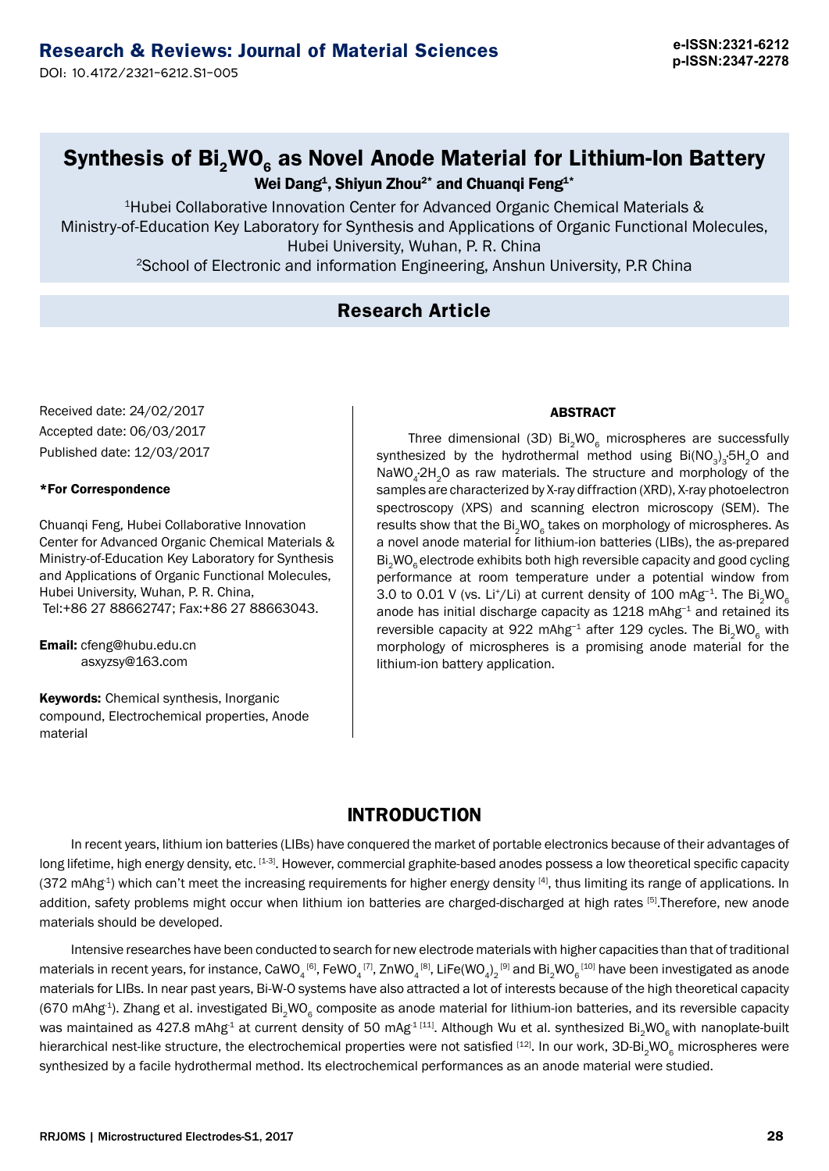**e-ISSN:2321-6212** 

# **Synthesis of Bi<sub>2</sub>WO<sub>6</sub> as Novel Anode Material for Lithium-Ion Battery**

Wei Dang<sup>1</sup>, Shiyun Zhou<sup>2\*</sup> and Chuanqi Feng<sup>1\*</sup>

<sup>1</sup>Hubei Collaborative Innovation Center for Advanced Organic Chemical Materials & Ministry-of-Education Key Laboratory for Synthesis and Applications of Organic Functional Molecules, Hubei University, Wuhan, P. R. China

<sup>2</sup>School of Electronic and information Engineering, Anshun University, P.R China

## **Research Article**

Received date: 24/02/2017 Accepted date: 06/03/2017 Published date: 12/03/2017

### \*For Correspondence

Chuanqi Feng, Hubei Collaborative Innovation Center for Advanced Organic Chemical Materials & Ministry-of-Education Key Laboratory for Synthesis and Applications of Organic Functional Molecules, Hubei University, Wuhan, P. R. China, Tel:+86 27 88662747; Fax:+86 27 88663043.

Email: cfeng@hubu.edu.cn asxyzsy@163.com

**Keywords: Chemical synthesis, Inorganic** compound, Electrochemical properties, Anode material

### ABSTRACT

Three dimensional (3D)  $Bi<sub>2</sub>WO<sub>6</sub>$  microspheres are successfully synthesized by the hydrothermal method using  $Bi(NO<sub>3</sub>)<sub>3</sub>$ :5H<sub>2</sub>O and NaWO<sub>4</sub>·2H<sub>2</sub>O as raw materials. The structure and morphology of the samples are characterized by X-ray diffraction (XRD), X-ray photoelectron spectroscopy (XPS) and scanning electron microscopy (SEM). The results show that the Bi<sub>2</sub>WO<sub>6</sub> takes on morphology of microspheres. As a novel anode material for lithium-ion batteries (LIBs), the as-prepared Bi<sub>2</sub>WO<sub>6</sub> electrode exhibits both high reversible capacity and good cycling performance at room temperature under a potential window from 3.0 to 0.01 V (vs. Li<sup>+</sup>/Li) at current density of 100 mAg<sup>-1</sup>. The Bi<sub>2</sub>WO<sub>6</sub> anode has initial discharge capacity as 1218 mAhg<sup>-1</sup> and retained its reversible capacity at 922 mAhg<sup>-1</sup> after 129 cycles. The Bi<sub>2</sub>WO<sub>6</sub> with morphology of microspheres is a promising anode material for the lithium-ion battery application.

# **INTRODUCTION**

In recent years, lithium ion batteries (LIBs) have conquered the market of portable electronics because of their advantages of long lifetime, high energy density, etc. [1-3]. However, commercial graphite-based anodes possess a low theoretical specific capacity  $(372 \text{ mAhg}^4)$  which can't meet the increasing requirements for higher energy density [4], thus limiting its range of applications. In addition, safety problems might occur when lithium ion batteries are charged-discharged at high rates [5]. Therefore, new anode materials should be developed.

Intensive researches have been conducted to search for new electrode materials with higher capacities than that of traditional materials in recent years, for instance,  $\mathtt{CaWO}_{_4}$ <sup>[6]</sup>,  $\mathsf{FeWO}_{_4}$ [7], ZnWO $_4$ [8], LiFe(WO $_{_4})_2$ [9] and Bi $_2$ WO $_6$ [10] have been investigated as anode materials for LIBs. In near past years, Bi-W-O systems have also attracted a lot of interests because of the high theoretical capacity (670 mAhg<sup>-1</sup>). Zhang et al. investigated Bi<sub>2</sub>WO<sub>6</sub> composite as anode material for lithium-ion batteries, and its reversible capacity was maintained as 427.8 mAhg<sup>-1</sup> at current density of 50 mAg<sup>-1 [11]</sup>. Although Wu et al. synthesized Bi<sub>2</sub>WO<sub>6</sub> with nanoplate-built hierarchical nest-like structure, the electrochemical properties were not satisfied [12]. In our work, 3D-Bi<sub>2</sub>WO<sub>6</sub> microspheres were synthesized by a facile hydrothermal method. Its electrochemical performances as an anode material were studied.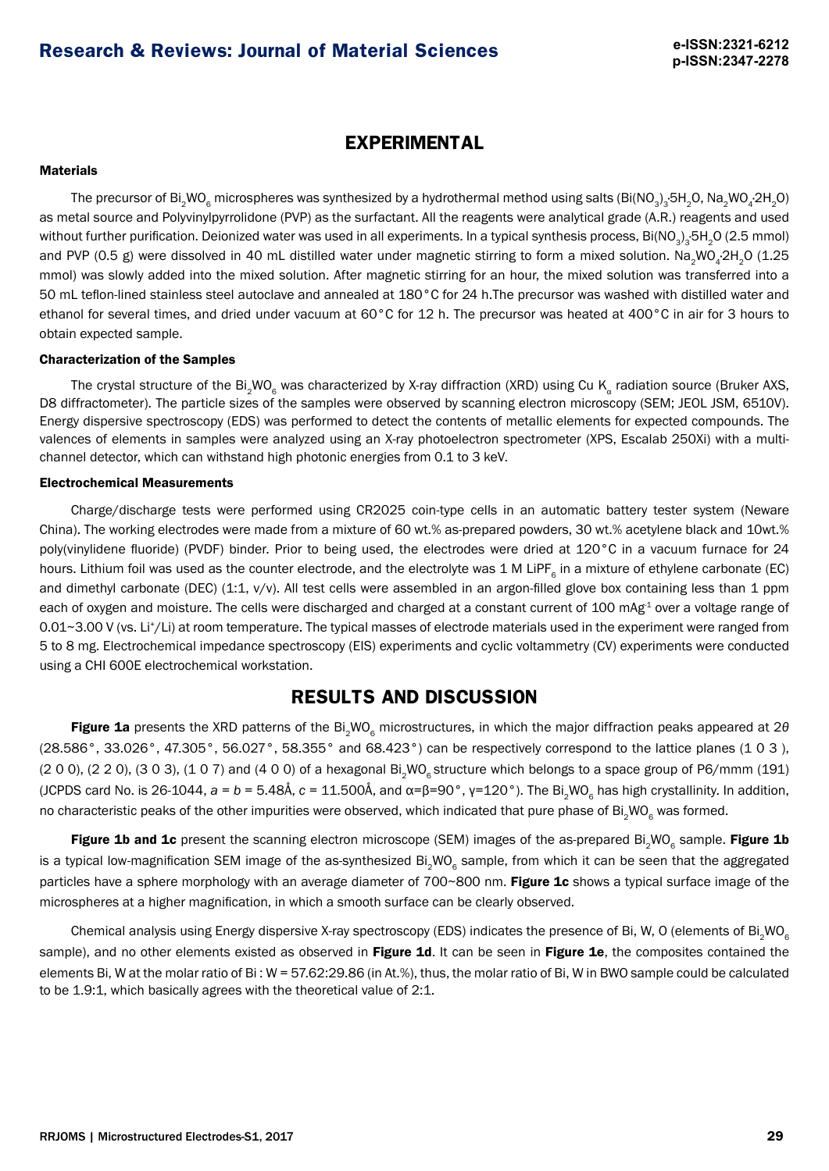## **EXPERIMENTAL**

### **Materials**

The precursor of Bi $_2$ WO $_6$  microspheres was synthesized by a hydrothermal method using salts (Bi(NO $_3)_3$ ·5H $_2$ O, Na $_2$ WO $_4$ ·2H $_2$ O) as metal source and Polyvinylpyrrolidone (PVP) as the surfactant. All the reagents were analytical grade (A.R.) reagents and used without further purification. Deionized water was used in all experiments. In a typical synthesis process, Bi(NO<sub>3</sub>)<sub>3</sub>·5H<sub>2</sub>O (2.5 mmol) and PVP (0.5 g) were dissolved in 40 mL distilled water under magnetic stirring to form a mixed solution. Na<sub>2</sub>WO<sub>4</sub>·2H<sub>2</sub>O (1.25 mmol) was slowly added into the mixed solution. After magnetic stirring for an hour, the mixed solution was transferred into a 50 mL teflon-lined stainless steel autoclave and annealed at 180°C for 24 h.The precursor was washed with distilled water and ethanol for several times, and dried under vacuum at 60°C for 12 h. The precursor was heated at 400°C in air for 3 hours to obtain expected sample.

### Characterization of the Samples

The crystal structure of the Bi<sub>2</sub>WO<sub>6</sub> was characterized by X-ray diffraction (XRD) using Cu K<sub>a</sub> radiation source (Bruker AXS, D8 diffractometer). The particle sizes of the samples were observed by scanning electron microscopy (SEM; JEOL JSM, 6510V). Energy dispersive spectroscopy (EDS) was performed to detect the contents of metallic elements for expected compounds. The valences of elements in samples were analyzed using an X-ray photoelectron spectrometer (XPS, Escalab 250Xi) with a multichannel detector, which can withstand high photonic energies from 0.1 to 3 keV.

#### Electrochemical Measurements

Charge/discharge tests were performed using CR2025 coin-type cells in an automatic battery tester system (Neware China). The working electrodes were made from a mixture of 60 wt.% as-prepared powders, 30 wt.% acetylene black and 10wt.% poly(vinylidene fluoride) (PVDF) binder. Prior to being used, the electrodes were dried at 120°C in a vacuum furnace for 24 hours. Lithium foil was used as the counter electrode, and the electrolyte was 1 M LiPF<sub>6</sub> in a mixture of ethylene carbonate (EC) and dimethyl carbonate (DEC) (1:1, y/y). All test cells were assembled in an argon-filled glove box containing less than 1 ppm each of oxygen and moisture. The cells were discharged and charged at a constant current of 100 mAg<sup>-1</sup> over a voltage range of 0.01~3.00 V (vs. Li+/Li) at room temperature. The typical masses of electrode materials used in the experiment were ranged from 5 to 8 mg. Electrochemical impedance spectroscopy (EIS) experiments and cyclic voltammetry (CV) experiments were conducted using a CHI 600E electrochemical workstation.

### **RESULTS AND DISCUSSION**

Figure 1a presents the XRD patterns of the Bi<sub>2</sub>WO<sub>6</sub> microstructures, in which the major diffraction peaks appeared at 2θ (28.586°, 33.026°, 47.305°, 56.027°, 58.355° and 68.423°) can be respectively correspond to the lattice planes (1 0 3 ),  $(2 0 0)$ ,  $(2 2 0)$ ,  $(3 0 3)$ ,  $(1 0 7)$  and  $(4 0 0)$  of a hexagonal Bi<sub>2</sub>WO<sub>6</sub> structure which belongs to a space group of P6/mmm (191) (JCPDS card No. is 26-1044,  $a = b = 5.48$ Å,  $c = 11.500$ Å, and α=β=90°, γ=120°). The Bi<sub>2</sub>WO<sub>6</sub> has high crystallinity. In addition, no characteristic peaks of the other impurities were observed, which indicated that pure phase of Bi<sub>2</sub>WO<sub>6</sub> was formed.

Figure 1b and 1c present the scanning electron microscope (SEM) images of the as-prepared Bi<sub>2</sub>WO<sub>6</sub> sample. Figure 1b is a typical low-magnification SEM image of the as-synthesized Bi<sub>2</sub>WO<sub>6</sub> sample, from which it can be seen that the aggregated particles have a sphere morphology with an average diameter of 700~800 nm. Figure 1c shows a typical surface image of the microspheres at a higher magnification, in which a smooth surface can be clearly observed.

Chemical analysis using Energy dispersive X-ray spectroscopy (EDS) indicates the presence of Bi, W, O (elements of Bi<sub>2</sub>WO<sub>6</sub> sample), and no other elements existed as observed in Figure 1d. It can be seen in Figure 1e, the composites contained the elements Bi, W at the molar ratio of Bi : W = 57.62:29.86 (in At.%), thus, the molar ratio of Bi, W in BWO sample could be calculated to be 1.9:1, which basically agrees with the theoretical value of 2:1.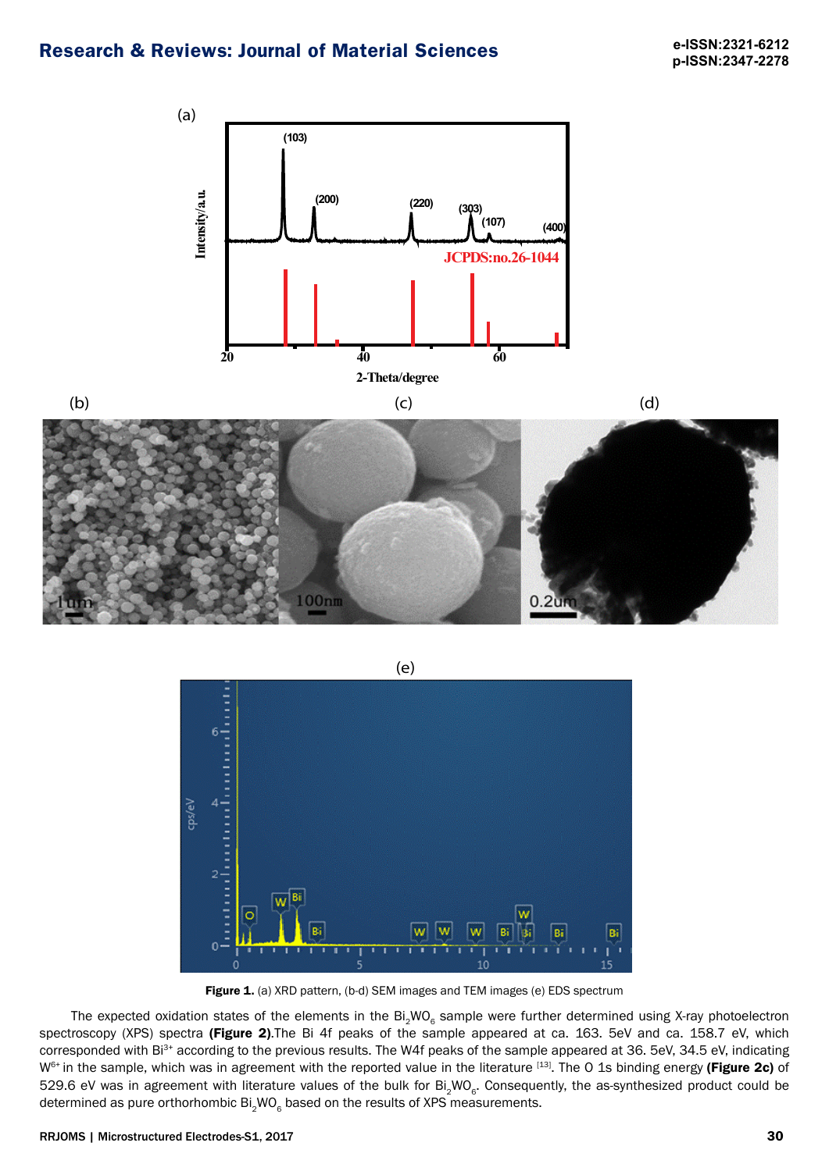





Figure 1. (a) XRD pattern, (b-d) SEM images and TEM images (e) EDS spectrum

The expected oxidation states of the elements in the  $Bi_2WO_6$  sample were further determined using X-ray photoelectron spectroscopy (XPS) spectra (Figure 2). The Bi 4f peaks of the sample appeared at ca. 163. 5eV and ca. 158.7 eV, which corresponded with Bi<sup>3+</sup> according to the previous results. The W4f peaks of the sample appeared at 36. 5eV, 34.5 eV, indicating W<sup>6+</sup> in the sample, which was in agreement with the reported value in the literature [13]. The O 1s binding energy (Figure 2c) of 529.6 eV was in agreement with literature values of the bulk for  $Bi_2WO_6$ . Consequently, the as-synthesized product could be determined as pure orthorhombic  $Bi_{2}WO_{2}$  based on the results of XPS measurements.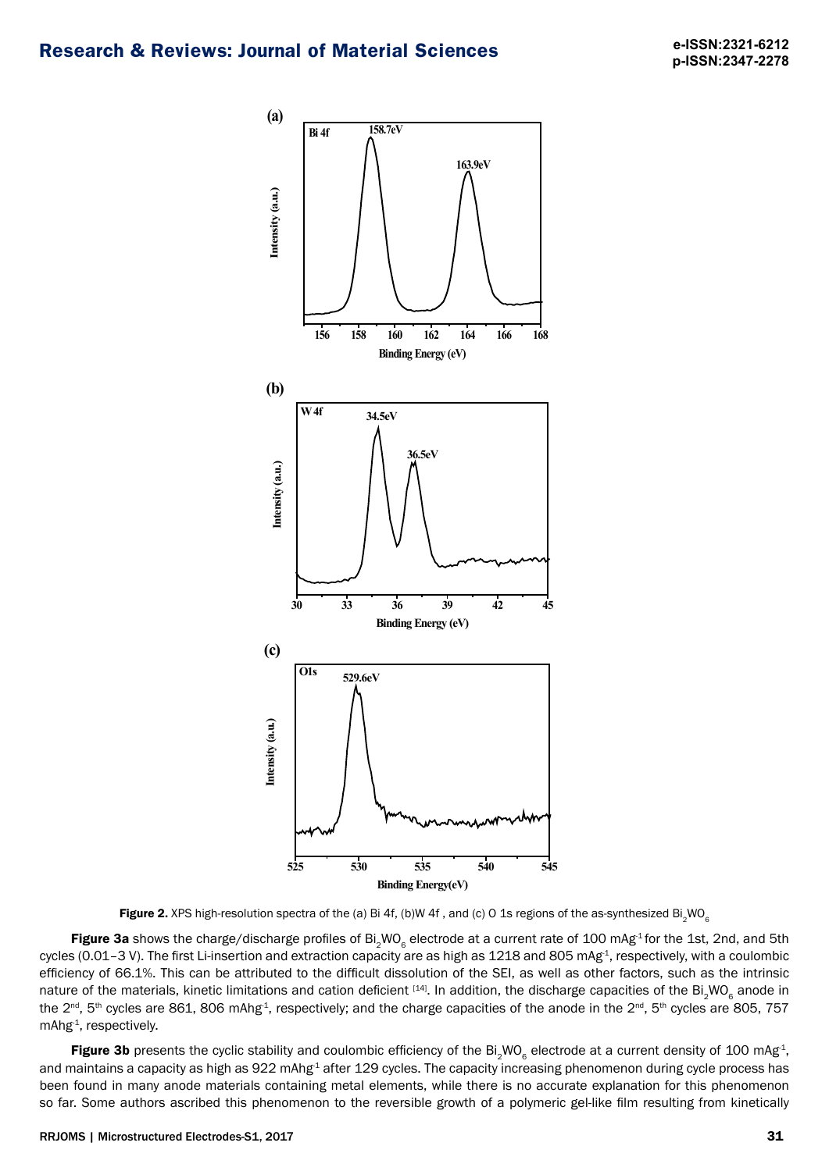

Figure 2. XPS high-resolution spectra of the (a) Bi 4f, (b)W 4f, and (c) O 1s regions of the as-synthesized Bi<sub>2</sub>WO<sub>6</sub>

Figure 3a shows the charge/discharge profiles of Bi<sub>2</sub>WO<sub>6</sub> electrode at a current rate of 100 mAg<sup>1</sup> for the 1st, 2nd, and 5th cycles (0.01-3 V). The first Li-insertion and extraction capacity are as high as 1218 and 805 mAg<sup>-1</sup>, respectively, with a coulombic efficiency of 66.1%. This can be attributed to the difficult dissolution of the SEI, as well as other factors, such as the intrinsic nature of the materials, kinetic limitations and cation deficient [14]. In addition, the discharge capacities of the Bi<sub>2</sub>WO<sub>6</sub> anode in the 2<sup>nd</sup>, 5<sup>th</sup> cycles are 861, 806 mAhg<sup>-1</sup>, respectively; and the charge capacities of the anode in the 2<sup>nd</sup>, 5<sup>th</sup> cycles are 805, 757 mAhg<sup>-1</sup>, respectively.

Figure 3b presents the cyclic stability and coulombic efficiency of the Bi<sub>2</sub>WO<sub>6</sub> electrode at a current density of 100 mAg<sup>-1</sup>, and maintains a capacity as high as 922 mAhg<sup>-1</sup> after 129 cycles. The capacity increasing phenomenon during cycle process has been found in many anode materials containing metal elements, while there is no accurate explanation for this phenomenon so far. Some authors ascribed this phenomenon to the reversible growth of a polymeric gel-like film resulting from kinetically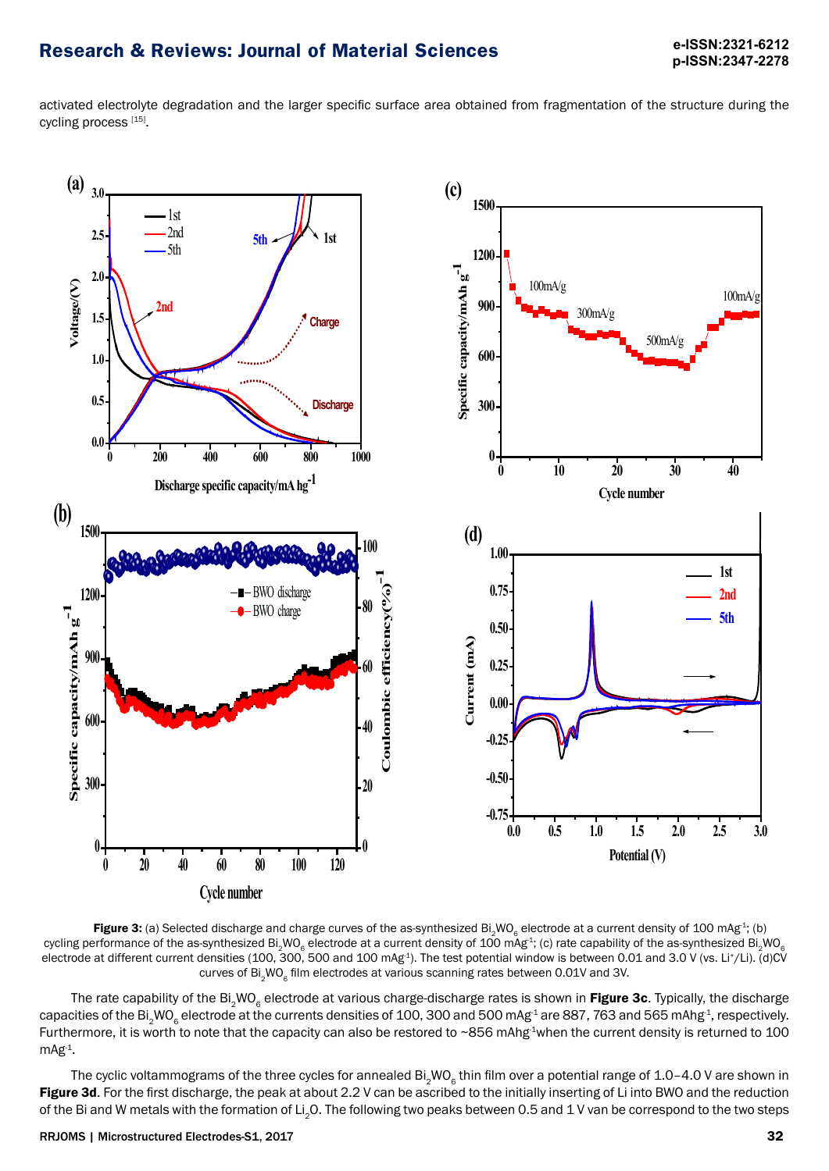activated electrolyte degradation and the larger specific surface area obtained from fragmentation of the structure during the cycling process [15].



Figure 3: (a) Selected discharge and charge curves of the as-synthesized Bi<sub>2</sub>WO<sub>6</sub> electrode at a current density of 100 mAg<sup>-1</sup>; (b) cycling performance of the as-synthesized Bi<sub>2</sub>WO<sub>6</sub> electrode at a current density of 100 mAg<sup>-1</sup>; (c) rate capability of the as-synthesized Bi<sub>2</sub>WO<sub>6</sub> electrode at different current densities (100, 300, 500 and 100 mAg<sup>1</sup>). The test potential window is between 0.01 and 3.0 V (vs. Li<sup>+</sup>/Li). (d)CV curves of Bi<sub>2</sub>WO<sub>c</sub> film electrodes at various scanning rates between 0.01V and 3V.

The rate capability of the Bi<sub>2</sub>WO<sub>6</sub> electrode at various charge-discharge rates is shown in Figure 3c. Typically, the discharge capacities of the Bi<sub>2</sub>WO<sub>s</sub> electrode at the currents densities of 100, 300 and 500 mAg<sup>-1</sup> are 887, 763 and 565 mAhg<sup>-1</sup>, respectively. Furthermore, it is worth to note that the capacity can also be restored to ~856 mAhg<sup>-1</sup>when the current density is returned to 100  $mAg^{-1}$ .

The cyclic voltammograms of the three cycles for annealed  $Bi_2WO_2$  thin film over a potential range of 1.0–4.0 V are shown in Figure 3d. For the first discharge, the peak at about 2.2 V can be ascribed to the initially inserting of Li into BWO and the reduction of the Bi and W metals with the formation of Li<sub>2</sub>O. The following two peaks between 0.5 and 1 V van be correspond to the two steps